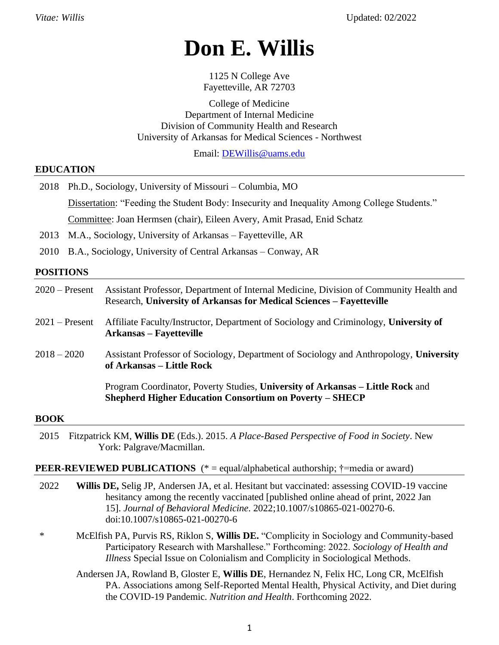# **Don E. Willis**

1125 N College Ave Fayetteville, AR 72703

College of Medicine Department of Internal Medicine Division of Community Health and Research University of Arkansas for Medical Sciences - Northwest

Email: [DEWillis@uams.edu](mailto:DEWillis@uams.edu)

#### **EDUCATION**

|                  | 2018 Ph.D., Sociology, University of Missouri – Columbia, MO                                                                                                                       |  |  |
|------------------|------------------------------------------------------------------------------------------------------------------------------------------------------------------------------------|--|--|
|                  | Dissertation: "Feeding the Student Body: Insecurity and Inequality Among College Students."                                                                                        |  |  |
|                  | Committee: Joan Hermsen (chair), Eileen Avery, Amit Prasad, Enid Schatz                                                                                                            |  |  |
|                  | 2013 M.A., Sociology, University of Arkansas – Fayetteville, AR                                                                                                                    |  |  |
|                  | 2010 B.A., Sociology, University of Central Arkansas – Conway, AR                                                                                                                  |  |  |
| <b>POSITIONS</b> |                                                                                                                                                                                    |  |  |
|                  | $2020$ – Present<br>Assistant Professor, Department of Internal Medicine, Division of Community Health and<br>Research, University of Arkansas for Medical Sciences – Fayetteville |  |  |

- 2021 Present Affiliate Faculty/Instructor, Department of Sociology and Criminology, **University of Arkansas – Fayetteville**
- 2018 2020 Assistant Professor of Sociology, Department of Sociology and Anthropology, **University of Arkansas – Little Rock**

Program Coordinator, Poverty Studies, **University of Arkansas – Little Rock** and **Shepherd Higher Education Consortium on Poverty – SHECP**

#### **BOOK**

2015 Fitzpatrick KM, **Willis DE** (Eds.). 2015. *A Place-Based Perspective of Food in Society*. New York: Palgrave/Macmillan.

#### **PEER-REVIEWED PUBLICATIONS** (\* = equal/alphabetical authorship; †=media or award)

- 2022 **Willis DE,** Selig JP, Andersen JA, et al. Hesitant but vaccinated: assessing COVID-19 vaccine hesitancy among the recently vaccinated [published online ahead of print, 2022 Jan 15]. *Journal of Behavioral Medicine*. 2022;10.1007/s10865-021-00270-6. doi:10.1007/s10865-021-00270-6
- \* McElfish PA, Purvis RS, Riklon S, **Willis DE.** "Complicity in Sociology and Community-based Participatory Research with Marshallese." Forthcoming: 2022. *Sociology of Health and Illness* Special Issue on Colonialism and Complicity in Sociological Methods.
	- Andersen JA, Rowland B, Gloster E, **Willis DE**, Hernandez N, Felix HC, Long CR, McElfish PA. Associations among Self-Reported Mental Health, Physical Activity, and Diet during the COVID-19 Pandemic. *Nutrition and Health*. Forthcoming 2022.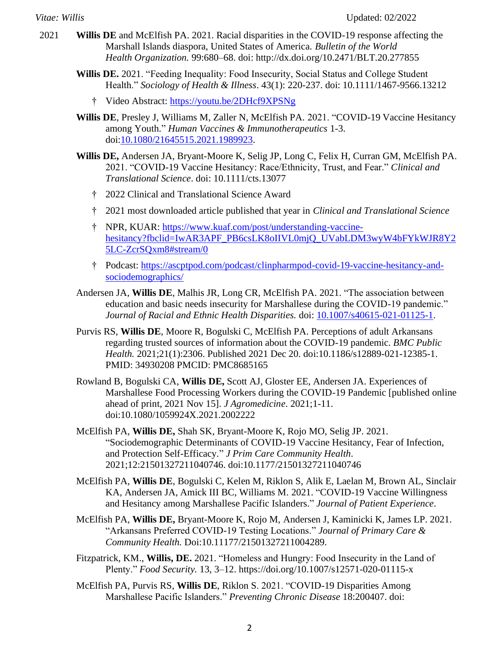- 2021 **Willis DE** and McElfish PA. 2021. Racial disparities in the COVID-19 response affecting the Marshall Islands diaspora, United States of America. *Bulletin of the World Health Organization.* 99:680–68. doi: <http://dx.doi.org/10.2471/BLT.20.277855>
	- **Willis DE.** 2021. "Feeding Inequality: Food Insecurity, Social Status and College Student Health." *Sociology of Health & Illness*. 43(1): 220-237. doi: [10.1111/1467-9566.13212](https://doi.org/10.1111/1467-9566.13212)
		- † Video Abstract:<https://youtu.be/2DHcf9XPSNg>
	- **Willis DE**, Presley J, Williams M, Zaller N, McElfish PA. 2021. "COVID-19 Vaccine Hesitancy among Youth." *Human Vaccines & Immunotherapeutics* 1-3. doi[:10.1080/21645515.2021.1989923.](https://doi.org/10.1080/21645515.2021.1989923)
	- **Willis DE,** Andersen JA, Bryant-Moore K, Selig JP, Long C, Felix H, Curran GM, McElfish PA. 2021. "COVID-19 Vaccine Hesitancy: Race/Ethnicity, Trust, and Fear." *Clinical and Translational Science*. doi: 10.1111/cts.13077
		- † 2022 Clinical and Translational Science Award
		- † 2021 most downloaded article published that year in *Clinical and Translational Science*
		- † NPR, KUAR: [https://www.kuaf.com/post/understanding-vaccine](https://www.kuaf.com/post/understanding-vaccine-hesitancy?fbclid=IwAR3APF_PB6csLK8oIIVL0mjQ_UVabLDM3wyW4bFYkWJR8Y25LC-ZcrSQxm8#stream/0)[hesitancy?fbclid=IwAR3APF\\_PB6csLK8oIIVL0mjQ\\_UVabLDM3wyW4bFYkWJR8Y2](https://www.kuaf.com/post/understanding-vaccine-hesitancy?fbclid=IwAR3APF_PB6csLK8oIIVL0mjQ_UVabLDM3wyW4bFYkWJR8Y25LC-ZcrSQxm8#stream/0) [5LC-ZcrSQxm8#stream/0](https://www.kuaf.com/post/understanding-vaccine-hesitancy?fbclid=IwAR3APF_PB6csLK8oIIVL0mjQ_UVabLDM3wyW4bFYkWJR8Y25LC-ZcrSQxm8#stream/0)
		- † Podcast: [https://ascptpod.com/podcast/clinpharmpod-covid-19-vaccine-hesitancy-and](https://ascptpod.com/podcast/clinpharmpod-covid-19-vaccine-hesitancy-and-sociodemographics/)[sociodemographics/](https://ascptpod.com/podcast/clinpharmpod-covid-19-vaccine-hesitancy-and-sociodemographics/)
	- Andersen JA, **Willis DE**, Malhis JR, Long CR, McElfish PA. 2021. "The association between education and basic needs insecurity for Marshallese during the COVID-19 pandemic." *Journal of Racial and Ethnic Health Disparities.* doi: [10.1007/s40615-021-01125-1.](https://doi.org/10.1007/s40615-021-01125-1)
	- Purvis RS, **Willis DE**, Moore R, Bogulski C, McElfish PA. Perceptions of adult Arkansans regarding trusted sources of information about the COVID-19 pandemic. *BMC Public Health.* 2021;21(1):2306. Published 2021 Dec 20. doi:10.1186/s12889-021-12385-1. PMID: 34930208 PMCID: PMC8685165
	- Rowland B, Bogulski CA, **Willis DE,** Scott AJ, Gloster EE, Andersen JA. Experiences of Marshallese Food Processing Workers during the COVID-19 Pandemic [published online ahead of print, 2021 Nov 15]. *J Agromedicine*. 2021;1-11. doi:10.1080/1059924X.2021.2002222
	- McElfish PA, **Willis DE,** Shah SK, Bryant-Moore K, Rojo MO, Selig JP. 2021. "Sociodemographic Determinants of COVID-19 Vaccine Hesitancy, Fear of Infection, and Protection Self-Efficacy." *J Prim Care Community Health*. 2021;12:21501327211040746. doi:10.1177/21501327211040746
	- McElfish PA, **Willis DE**, Bogulski C, Kelen M, Riklon S, Alik E, Laelan M, Brown AL, Sinclair KA, Andersen JA, Amick III BC, Williams M. 2021. "COVID-19 Vaccine Willingness and Hesitancy among Marshallese Pacific Islanders." *Journal of Patient Experience*.
	- McElfish PA, **Willis DE,** Bryant-Moore K, Rojo M, Andersen J, Kaminicki K, James LP. 2021. "Arkansans Preferred COVID-19 Testing Locations." *Journal of Primary Care & Community Health.* Doi:10.11177/21501327211004289.
	- Fitzpatrick, KM., **Willis, DE.** 2021. "Homeless and Hungry: Food Insecurity in the Land of Plenty." *Food Security.* 13, 3–12. https://doi.org/10.1007/s12571-020-01115-x
	- McElfish PA, Purvis RS, **Willis DE**, Riklon S. 2021. "COVID-19 Disparities Among Marshallese Pacific Islanders." *Preventing Chronic Disease* 18:200407. doi: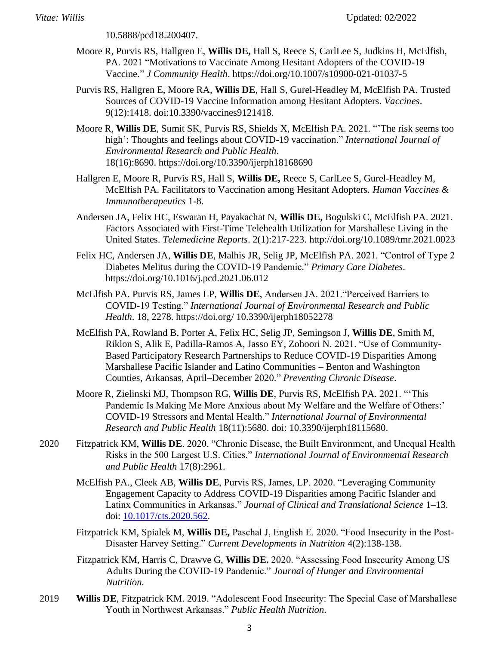[10.5888/pcd18.200407.](https://doi.org/10.5888/pcd18.200407)

- Moore R, Purvis RS, Hallgren E, **Willis DE,** Hall S, Reece S, CarlLee S, Judkins H, McElfish, PA. 2021 "Motivations to Vaccinate Among Hesitant Adopters of the COVID-19 Vaccine." *J Community Health*. <https://doi.org/10.1007/s10900-021-01037-5>
- Purvis RS, Hallgren E, Moore RA, **Willis DE**, Hall S, Gurel-Headley M, McElfish PA. Trusted Sources of COVID-19 Vaccine Information among Hesitant Adopters. *Vaccines*. 9(12):1418. doi:10.3390/vaccines9121418.
- Moore R, **Willis DE**, Sumit SK, Purvis RS, Shields X, McElfish PA. 2021. "'The risk seems too high': Thoughts and feelings about COVID-19 vaccination." *International Journal of Environmental Research and Public Health*. 18(16):8690. <https://doi.org/10.3390/ijerph18168690>
- Hallgren E, Moore R, Purvis RS, Hall S, **Willis DE,** Reece S, CarlLee S, Gurel-Headley M, McElfish PA. Facilitators to Vaccination among Hesitant Adopters. *Human Vaccines & Immunotherapeutics* 1-8.
- Andersen JA, Felix HC, Eswaran H, Payakachat N, **Willis DE,** Bogulski C, McElfish PA. 2021. Factors Associated with First-Time Telehealth Utilization for Marshallese Living in the United States. *Telemedicine Reports*. 2(1):217-223. <http://doi.org/10.1089/tmr.2021.0023>
- Felix HC, Andersen JA, **Willis DE**, Malhis JR, Selig JP, McElfish PA. 2021. "Control of Type 2 Diabetes Melitus during the COVID-19 Pandemic." *Primary Care Diabetes*. <https://doi.org/10.1016/j.pcd.2021.06.012>
- McElfish PA. Purvis RS, James LP, **Willis DE**, Andersen JA. 2021."Perceived Barriers to COVID-19 Testing." *International Journal of Environmental Research and Public Health*. 18, 2278. https://doi.org/ 10.3390/ijerph18052278
- McElfish PA, Rowland B, Porter A, Felix HC, Selig JP, Semingson J, **Willis DE**, Smith M, Riklon S, Alik E, Padilla-Ramos A, Jasso EY, Zohoori N. 2021. "Use of Community-Based Participatory Research Partnerships to Reduce COVID-19 Disparities Among Marshallese Pacific Islander and Latino Communities – Benton and Washington Counties, Arkansas, April–December 2020." *Preventing Chronic Disease*.
- Moore R, Zielinski MJ, Thompson RG, **Willis DE**, Purvis RS, McElfish PA. 2021. "'This Pandemic Is Making Me More Anxious about My Welfare and the Welfare of Others:' COVID-19 Stressors and Mental Health." *International Journal of Environmental Research and Public Health* 18(11):5680. doi: [10.3390/ijerph18115680.](https://doi.org/10.3390/ijerph18115680)
- 2020 Fitzpatrick KM, **Willis DE**. 2020. "Chronic Disease, the Built Environment, and Unequal Health Risks in the 500 Largest U.S. Cities." *International Journal of Environmental Research and Public Health* 17(8):2961.
	- McElfish PA., Cleek AB, **Willis DE**, Purvis RS, James, LP. 2020. "Leveraging Community Engagement Capacity to Address COVID-19 Disparities among Pacific Islander and Latinx Communities in Arkansas." *Journal of Clinical and Translational Science* 1–13. doi: [10.1017/cts.2020.562.](https://doi.org/10.1017/cts.2020.562)
	- Fitzpatrick KM, Spialek M, **Willis DE,** Paschal J, English E. 2020. "Food Insecurity in the Post-Disaster Harvey Setting." *Current Developments in Nutrition* 4(2):138-138.
	- Fitzpatrick KM, Harris C, Drawve G, **Willis DE.** 2020. "Assessing Food Insecurity Among US Adults During the COVID-19 Pandemic." *Journal of Hunger and Environmental Nutrition.*
- 2019 **Willis DE**, Fitzpatrick KM. 2019. "Adolescent Food Insecurity: The Special Case of Marshallese Youth in Northwest Arkansas." *Public Health Nutrition*.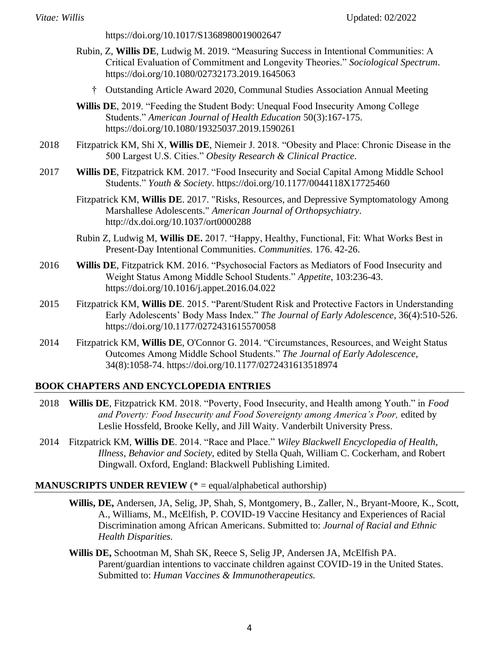<https://doi.org/10.1017/S1368980019002647>

- Rubin, Z, **Willis DE**, Ludwig M. 2019. "Measuring Success in Intentional Communities: A Critical Evaluation of Commitment and Longevity Theories." *Sociological Spectrum*. <https://doi.org/10.1080/02732173.2019.1645063>
	- † Outstanding Article Award 2020, Communal Studies Association Annual Meeting
- **Willis DE**, 2019. "Feeding the Student Body: Unequal Food Insecurity Among College Students." *American Journal of Health Education* 50(3):167-175. <https://doi.org/10.1080/19325037.2019.1590261>
- 2018 Fitzpatrick KM, Shi X, **Willis DE**, Niemeir J. 2018. "Obesity and Place: Chronic Disease in the 500 Largest U.S. Cities." *Obesity Research & Clinical Practice*.
- 2017 **Willis DE**, Fitzpatrick KM. 2017. "Food Insecurity and Social Capital Among Middle School Students." *Youth & Society*.<https://doi.org/10.1177/0044118X17725460>
	- Fitzpatrick KM, **Willis DE**. 2017. "Risks, Resources, and Depressive Symptomatology Among Marshallese Adolescents." *American Journal of Orthopsychiatry*. http://dx.doi.org/10.1037/ort0000288
	- Rubin Z, Ludwig M, **Willis DE.** 2017. "Happy, Healthy, Functional, Fit: What Works Best in Present-Day Intentional Communities. *Communities.* 176. 42-26.
- 2016 **Willis DE**, Fitzpatrick KM. 2016. "Psychosocial Factors as Mediators of Food Insecurity and Weight Status Among Middle School Students." *Appetite*, 103:236-43. <https://doi.org/10.1016/j.appet.2016.04.022>
- 2015 Fitzpatrick KM, **Willis DE**. 2015. "Parent/Student Risk and Protective Factors in Understanding Early Adolescents' Body Mass Index." *The Journal of Early Adolescence*, 36(4):510-526. <https://doi.org/10.1177/0272431615570058>
- 2014 Fitzpatrick KM, **Willis DE**, O'Connor G. 2014. "Circumstances, Resources, and Weight Status Outcomes Among Middle School Students." *The Journal of Early Adolescence*, 34(8):1058-74.<https://doi.org/10.1177/0272431613518974>

#### **BOOK CHAPTERS AND ENCYCLOPEDIA ENTRIES**

- 2018 **Willis DE**, Fitzpatrick KM. 2018. "Poverty, Food Insecurity, and Health among Youth." in *Food and Poverty: Food Insecurity and Food Sovereignty among America's Poor,* edited by Leslie Hossfeld, Brooke Kelly, and Jill Waity. Vanderbilt University Press.
- 2014 Fitzpatrick KM, **Willis DE**. 2014. "Race and Place." *Wiley Blackwell Encyclopedia of Health, Illness, Behavior and Society,* edited by Stella Quah, William C. Cockerham, and Robert Dingwall. Oxford, England: Blackwell Publishing Limited.

#### **MANUSCRIPTS UNDER REVIEW** (\* = equal/alphabetical authorship)

- **Willis, DE,** Andersen, JA, Selig, JP, Shah, S, Montgomery, B., Zaller, N., Bryant-Moore, K., Scott, A., Williams, M., McElfish, P. COVID-19 Vaccine Hesitancy and Experiences of Racial Discrimination among African Americans. Submitted to: *Journal of Racial and Ethnic Health Disparities.*
- **Willis DE,** Schootman M, Shah SK, Reece S, Selig JP, Andersen JA, McElfish PA. Parent/guardian intentions to vaccinate children against COVID-19 in the United States. Submitted to: *Human Vaccines & Immunotherapeutics.*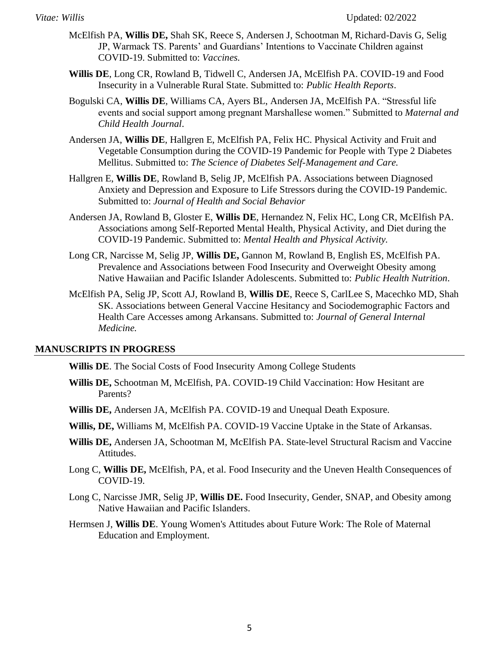- McElfish PA, **Willis DE,** Shah SK, Reece S, Andersen J, Schootman M, Richard-Davis G, Selig JP, Warmack TS. Parents' and Guardians' Intentions to Vaccinate Children against COVID-19. Submitted to: *Vaccines.*
- **Willis DE**, Long CR, Rowland B, Tidwell C, Andersen JA, McElfish PA. COVID-19 and Food Insecurity in a Vulnerable Rural State. Submitted to: *Public Health Reports*.
- Bogulski CA, **Willis DE**, Williams CA, Ayers BL, Andersen JA, McElfish PA. "Stressful life events and social support among pregnant Marshallese women." Submitted to *Maternal and Child Health Journal*.
- Andersen JA, **Willis DE**, Hallgren E, McElfish PA, Felix HC. Physical Activity and Fruit and Vegetable Consumption during the COVID-19 Pandemic for People with Type 2 Diabetes Mellitus. Submitted to: *The Science of Diabetes Self-Management and Care.*
- Hallgren E, **Willis DE**, Rowland B, Selig JP, McElfish PA. Associations between Diagnosed Anxiety and Depression and Exposure to Life Stressors during the COVID-19 Pandemic. Submitted to: *Journal of Health and Social Behavior*
- Andersen JA, Rowland B, Gloster E, **Willis DE**, Hernandez N, Felix HC, Long CR, McElfish PA. Associations among Self-Reported Mental Health, Physical Activity, and Diet during the COVID-19 Pandemic. Submitted to: *Mental Health and Physical Activity.*
- Long CR, Narcisse M, Selig JP, **Willis DE,** Gannon M, Rowland B, English ES, McElfish PA. Prevalence and Associations between Food Insecurity and Overweight Obesity among Native Hawaiian and Pacific Islander Adolescents. Submitted to: *Public Health Nutrition*.
- McElfish PA, Selig JP, Scott AJ, Rowland B, **Willis DE**, Reece S, CarlLee S, Macechko MD, Shah SK. Associations between General Vaccine Hesitancy and Sociodemographic Factors and Health Care Accesses among Arkansans. Submitted to: *Journal of General Internal Medicine.*

#### **MANUSCRIPTS IN PROGRESS**

**Willis DE**. The Social Costs of Food Insecurity Among College Students

- **Willis DE,** Schootman M, McElfish, PA. COVID-19 Child Vaccination: How Hesitant are Parents?
- **Willis DE,** Andersen JA, McElfish PA. COVID-19 and Unequal Death Exposure.
- **Willis, DE,** Williams M, McElfish PA. COVID-19 Vaccine Uptake in the State of Arkansas.
- **Willis DE,** Andersen JA, Schootman M, McElfish PA. State-level Structural Racism and Vaccine Attitudes.
- Long C, **Willis DE,** McElfish, PA, et al. Food Insecurity and the Uneven Health Consequences of COVID-19.
- Long C, Narcisse JMR, Selig JP, **Willis DE.** Food Insecurity, Gender, SNAP, and Obesity among Native Hawaiian and Pacific Islanders.
- Hermsen J, **Willis DE**. Young Women's Attitudes about Future Work: The Role of Maternal Education and Employment.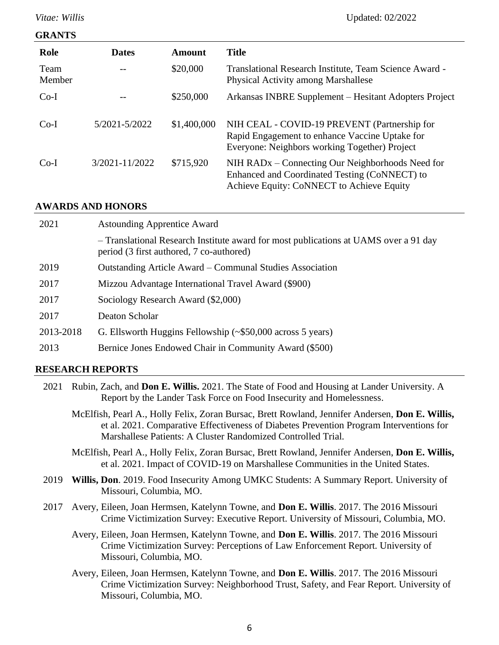#### **GRANTS**

| Role           | <b>Dates</b>   | Amount      | <b>Title</b>                                                                                                                                    |
|----------------|----------------|-------------|-------------------------------------------------------------------------------------------------------------------------------------------------|
| Team<br>Member |                | \$20,000    | Translational Research Institute, Team Science Award -<br><b>Physical Activity among Marshallese</b>                                            |
| $Co-I$         |                | \$250,000   | Arkansas INBRE Supplement – Hesitant Adopters Project                                                                                           |
| $Co-I$         | 5/2021-5/2022  | \$1,400,000 | NIH CEAL - COVID-19 PREVENT (Partnership for<br>Rapid Engagement to enhance Vaccine Uptake for<br>Everyone: Neighbors working Together) Project |
| $Co-I$         | 3/2021-11/2022 | \$715,920   | NIH RADx – Connecting Our Neighborhoods Need for<br>Enhanced and Coordinated Testing (CoNNECT) to<br>Achieve Equity: CoNNECT to Achieve Equity  |

#### **AWARDS AND HONORS**

| 2021      | <b>Astounding Apprentice Award</b>                                                                                               |
|-----------|----------------------------------------------------------------------------------------------------------------------------------|
|           | - Translational Research Institute award for most publications at UAMS over a 91 day<br>period (3 first authored, 7 co-authored) |
| 2019      | Outstanding Article Award – Communal Studies Association                                                                         |
| 2017      | Mizzou Advantage International Travel Award (\$900)                                                                              |
| 2017      | Sociology Research Award (\$2,000)                                                                                               |
| 2017      | Deaton Scholar                                                                                                                   |
| 2013-2018 | G. Ellsworth Huggins Fellowship $(\sim $50,000$ across 5 years)                                                                  |
| 2013      | Bernice Jones Endowed Chair in Community Award (\$500)                                                                           |

#### **RESEARCH REPORTS**

- 2021 Rubin, Zach, and **Don E. Willis.** 2021. The State of Food and Housing at Lander University. A Report by the Lander Task Force on Food Insecurity and Homelessness.
	- McElfish, Pearl A., Holly Felix, Zoran Bursac, Brett Rowland, Jennifer Andersen, **Don E. Willis,** et al. 2021. Comparative Effectiveness of Diabetes Prevention Program Interventions for Marshallese Patients: A Cluster Randomized Controlled Trial.
	- McElfish, Pearl A., Holly Felix, Zoran Bursac, Brett Rowland, Jennifer Andersen, **Don E. Willis,** et al. 2021. Impact of COVID-19 on Marshallese Communities in the United States.
- 2019 **Willis, Don**. 2019. Food Insecurity Among UMKC Students: A Summary Report*.* University of Missouri, Columbia, MO.
- 2017 Avery, Eileen, Joan Hermsen, Katelynn Towne, and **Don E. Willis**. 2017. The 2016 Missouri Crime Victimization Survey: Executive Report. University of Missouri, Columbia, MO.
	- Avery, Eileen, Joan Hermsen, Katelynn Towne, and **Don E. Willis**. 2017. The 2016 Missouri Crime Victimization Survey: Perceptions of Law Enforcement Report. University of Missouri, Columbia, MO.
	- Avery, Eileen, Joan Hermsen, Katelynn Towne, and **Don E. Willis**. 2017. The 2016 Missouri Crime Victimization Survey: Neighborhood Trust, Safety, and Fear Report. University of Missouri, Columbia, MO.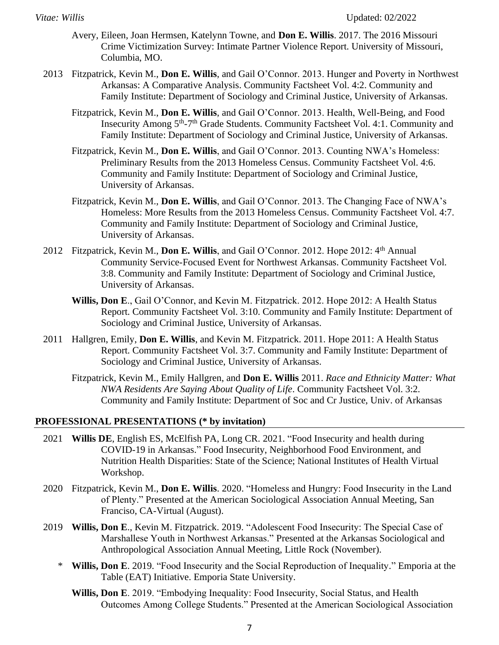- Avery, Eileen, Joan Hermsen, Katelynn Towne, and **Don E. Willis**. 2017. The 2016 Missouri Crime Victimization Survey: Intimate Partner Violence Report. University of Missouri, Columbia, MO.
- 2013 Fitzpatrick, Kevin M., **Don E. Willis**, and Gail O'Connor. 2013. Hunger and Poverty in Northwest Arkansas: A Comparative Analysis. Community Factsheet Vol. 4:2. Community and Family Institute: Department of Sociology and Criminal Justice, University of Arkansas.
	- Fitzpatrick, Kevin M., **Don E. Willis**, and Gail O'Connor. 2013. Health, Well-Being, and Food Insecurity Among 5<sup>th</sup>-7<sup>th</sup> Grade Students. Community Factsheet Vol. 4:1. Community and Family Institute: Department of Sociology and Criminal Justice, University of Arkansas.
	- Fitzpatrick, Kevin M., **Don E. Willis**, and Gail O'Connor. 2013. Counting NWA's Homeless: Preliminary Results from the 2013 Homeless Census. Community Factsheet Vol. 4:6. Community and Family Institute: Department of Sociology and Criminal Justice, University of Arkansas.
	- Fitzpatrick, Kevin M., **Don E. Willis**, and Gail O'Connor. 2013. The Changing Face of NWA's Homeless: More Results from the 2013 Homeless Census. Community Factsheet Vol. 4:7. Community and Family Institute: Department of Sociology and Criminal Justice, University of Arkansas.
- 2012 Fitzpatrick, Kevin M., **Don E. Willis**, and Gail O'Connor. 2012. Hope 2012: 4th Annual Community Service-Focused Event for Northwest Arkansas. Community Factsheet Vol. 3:8. Community and Family Institute: Department of Sociology and Criminal Justice, University of Arkansas.
	- **Willis, Don E**., Gail O'Connor, and Kevin M. Fitzpatrick. 2012. Hope 2012: A Health Status Report. Community Factsheet Vol. 3:10. Community and Family Institute: Department of Sociology and Criminal Justice, University of Arkansas.
- 2011 Hallgren, Emily, **Don E. Willis**, and Kevin M. Fitzpatrick. 2011. Hope 2011: A Health Status Report. Community Factsheet Vol. 3:7. Community and Family Institute: Department of Sociology and Criminal Justice, University of Arkansas.
	- Fitzpatrick, Kevin M., Emily Hallgren, and **Don E. Willis** 2011. *Race and Ethnicity Matter: What NWA Residents Are Saying About Quality of Life*. Community Factsheet Vol. 3:2*.*  Community and Family Institute: Department of Soc and Cr Justice, Univ. of Arkansas

#### **PROFESSIONAL PRESENTATIONS (\* by invitation)**

- 2021 **Willis DE**, English ES, McElfish PA, Long CR. 2021. "Food Insecurity and health during COVID-19 in Arkansas." Food Insecurity, Neighborhood Food Environment, and Nutrition Health Disparities: State of the Science; National Institutes of Health Virtual Workshop.
- 2020 Fitzpatrick, Kevin M., **Don E. Willis**. 2020. "Homeless and Hungry: Food Insecurity in the Land of Plenty." Presented at the American Sociological Association Annual Meeting, San Franciso, CA-Virtual (August).
- 2019 **Willis, Don E**., Kevin M. Fitzpatrick. 2019. "Adolescent Food Insecurity: The Special Case of Marshallese Youth in Northwest Arkansas." Presented at the Arkansas Sociological and Anthropological Association Annual Meeting, Little Rock (November).
	- \* **Willis, Don E**. 2019. "Food Insecurity and the Social Reproduction of Inequality." Emporia at the Table (EAT) Initiative. Emporia State University.
		- **Willis, Don E**. 2019. "Embodying Inequality: Food Insecurity, Social Status, and Health Outcomes Among College Students." Presented at the American Sociological Association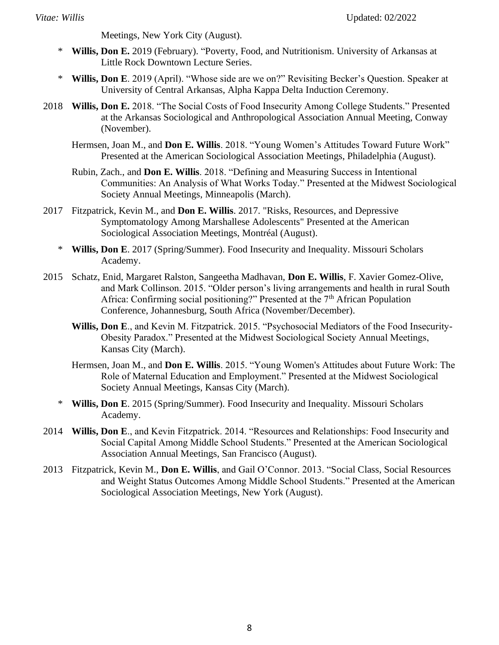Meetings, New York City (August).

- \* **Willis, Don E.** 2019 (February). "Poverty, Food, and Nutritionism. University of Arkansas at Little Rock Downtown Lecture Series.
- \* **Willis, Don E**. 2019 (April). "Whose side are we on?" Revisiting Becker's Question. Speaker at University of Central Arkansas, Alpha Kappa Delta Induction Ceremony.
- 2018 **Willis, Don E.** 2018. "The Social Costs of Food Insecurity Among College Students." Presented at the Arkansas Sociological and Anthropological Association Annual Meeting, Conway (November).
	- Hermsen, Joan M., and **Don E. Willis**. 2018. "Young Women's Attitudes Toward Future Work" Presented at the American Sociological Association Meetings, Philadelphia (August).
	- Rubin, Zach., and **Don E. Willis**. 2018. "Defining and Measuring Success in Intentional Communities: An Analysis of What Works Today." Presented at the Midwest Sociological Society Annual Meetings, Minneapolis (March).
- 2017 Fitzpatrick, Kevin M., and **Don E. Willis**. 2017. "Risks, Resources, and Depressive Symptomatology Among Marshallese Adolescents" Presented at the American Sociological Association Meetings, Montréal (August).
	- \* **Willis, Don E**. 2017 (Spring/Summer). Food Insecurity and Inequality. Missouri Scholars Academy.
- 2015 Schatz, Enid, Margaret Ralston, Sangeetha Madhavan, **Don E. Willis**, F. Xavier Gomez-Olive, and Mark Collinson. 2015. "Older person's living arrangements and health in rural South Africa: Confirming social positioning?" Presented at the 7<sup>th</sup> African Population Conference, Johannesburg, South Africa (November/December).
	- **Willis, Don E**., and Kevin M. Fitzpatrick. 2015. "Psychosocial Mediators of the Food Insecurity-Obesity Paradox." Presented at the Midwest Sociological Society Annual Meetings, Kansas City (March).
	- Hermsen, Joan M., and **Don E. Willis**. 2015. "Young Women's Attitudes about Future Work: The Role of Maternal Education and Employment." Presented at the Midwest Sociological Society Annual Meetings, Kansas City (March).
	- \* **Willis, Don E**. 2015 (Spring/Summer). Food Insecurity and Inequality. Missouri Scholars Academy.
- 2014 **Willis, Don E**., and Kevin Fitzpatrick. 2014. "Resources and Relationships: Food Insecurity and Social Capital Among Middle School Students." Presented at the American Sociological Association Annual Meetings, San Francisco (August).
- 2013 Fitzpatrick, Kevin M., **Don E. Willis**, and Gail O'Connor. 2013. "Social Class, Social Resources and Weight Status Outcomes Among Middle School Students." Presented at the American Sociological Association Meetings, New York (August).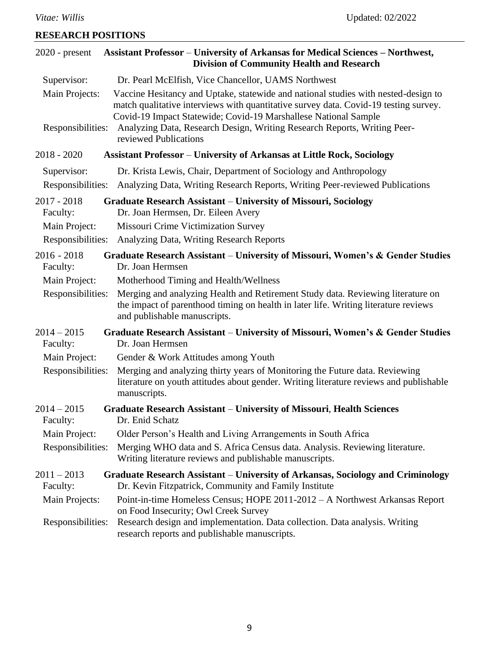**RESEARCH POSITIONS**

# 2020 - present **Assistant Professor** – **University of Arkansas for Medical Sciences – Northwest, Division of Community Health and Research** Supervisor: Dr. Pearl McElfish, Vice Chancellor, UAMS Northwest Main Projects: Vaccine Hesitancy and Uptake, statewide and national studies with nested-design to match qualitative interviews with quantitative survey data. Covid-19 testing survey. Covid-19 Impact Statewide; Covid-19 Marshallese National Sample Responsibilities: Analyzing Data, Research Design, Writing Research Reports, Writing Peerreviewed Publications 2018 - 2020 **Assistant Professor** – **University of Arkansas at Little Rock, Sociology** Supervisor: Dr. Krista Lewis, Chair, Department of Sociology and Anthropology Responsibilities: Analyzing Data, Writing Research Reports, Writing Peer-reviewed Publications 2017 - 2018 **Graduate Research Assistant** – **University of Missouri, Sociology** Faculty: Dr. Joan Hermsen, Dr. Eileen Avery Main Project: Missouri Crime Victimization Survey Responsibilities: Analyzing Data, Writing Research Reports 2016 - 2018 **Graduate Research Assistant** – **University of Missouri, Women's & Gender Studies** Faculty: Dr. Joan Hermsen Main Project: Motherhood Timing and Health/Wellness Responsibilities: Merging and analyzing Health and Retirement Study data. Reviewing literature on the impact of parenthood timing on health in later life. Writing literature reviews and publishable manuscripts. 2014 – 2015 **Graduate Research Assistant** – **University of Missouri, Women's & Gender Studies** Faculty: Dr. Joan Hermsen Main Project: Gender & Work Attitudes among Youth Responsibilities: Merging and analyzing thirty years of Monitoring the Future data. Reviewing literature on youth attitudes about gender. Writing literature reviews and publishable manuscripts. 2014 – 2015 **Graduate Research Assistant** – **University of Missouri**, **Health Sciences** Faculty: Dr. Enid Schatz Main Project: Older Person's Health and Living Arrangements in South Africa Responsibilities: Merging WHO data and S. Africa Census data. Analysis. Reviewing literature. Writing literature reviews and publishable manuscripts. 2011 – 2013 **Graduate Research Assistant** – **University of Arkansas, Sociology and Criminology** Faculty: Dr. Kevin Fitzpatrick, Community and Family Institute Main Projects: Point-in-time Homeless Census; HOPE 2011-2012 – A Northwest Arkansas Report on Food Insecurity; Owl Creek Survey Responsibilities: Research design and implementation. Data collection. Data analysis. Writing research reports and publishable manuscripts.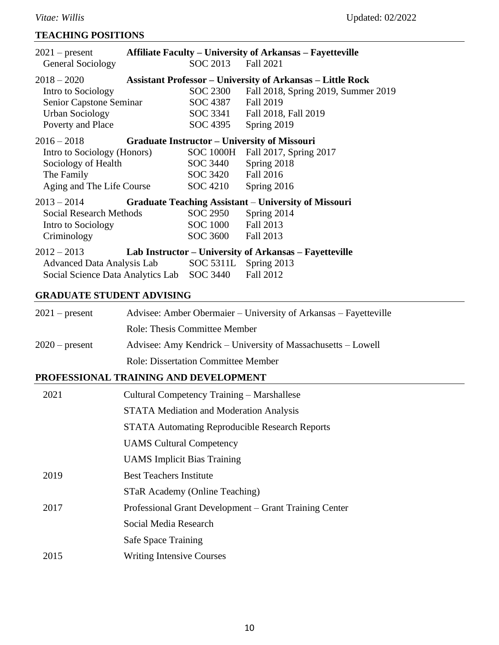#### **TEACHING POSITIONS**

| $2021$ – present                                                |                    | <b>Affiliate Faculty – University of Arkansas – Fayetteville</b>  |
|-----------------------------------------------------------------|--------------------|-------------------------------------------------------------------|
| <b>General Sociology</b>                                        | SOC 2013 Fall 2021 |                                                                   |
| $2018 - 2020$                                                   |                    | <b>Assistant Professor – University of Arkansas – Little Rock</b> |
| Intro to Sociology                                              | SOC 2300           | Fall 2018, Spring 2019, Summer 2019                               |
| Senior Capstone Seminar                                         | SOC 4387           | <b>Fall 2019</b>                                                  |
| <b>Urban Sociology</b>                                          |                    | SOC 3341 Fall 2018, Fall 2019                                     |
| Poverty and Place                                               | SOC 4395           | Spring 2019                                                       |
| 2016 – 2018 <b>Graduate Instructor – University of Missouri</b> |                    |                                                                   |
| Intro to Sociology (Honors)                                     |                    | SOC 1000H Fall 2017, Spring 2017                                  |
| Sociology of Health                                             | SOC 3440           | Spring 2018                                                       |
| The Family                                                      | SOC 3420           | Fall 2016                                                         |
| Aging and The Life Course                                       | SOC 4210           | Spring 2016                                                       |
| $2013 - 2014$                                                   |                    | <b>Graduate Teaching Assistant – University of Missouri</b>       |
| Social Research Methods                                         | SOC 2950           | Spring 2014                                                       |
| Intro to Sociology                                              | SOC 1000           | Fall 2013                                                         |
| Criminology                                                     | SOC 3600           | Fall 2013                                                         |
| $2012 - 2013$                                                   |                    | Lab Instructor – University of Arkansas – Fayetteville            |
| Advanced Data Analysis Lab SOC 5311L Spring 2013                |                    |                                                                   |
| Social Science Data Analytics Lab SOC 3440                      |                    | Fall 2012                                                         |

#### **GRADUATE STUDENT ADVISING**

| $2021$ – present | Advisee: Amber Obermaier – University of Arkansas – Fayetteville |
|------------------|------------------------------------------------------------------|
|                  | <b>Role: Thesis Committee Member</b>                             |
| $2020$ – present | Advisee: Amy Kendrick – University of Massachusetts – Lowell     |
|                  | <b>Role: Dissertation Committee Member</b>                       |

## **PROFESSIONAL TRAINING AND DEVELOPMENT**

| 2021 | Cultural Competency Training – Marshallese             |
|------|--------------------------------------------------------|
|      | <b>STATA</b> Mediation and Moderation Analysis         |
|      | <b>STATA Automating Reproducible Research Reports</b>  |
|      | <b>UAMS</b> Cultural Competency                        |
|      | <b>UAMS</b> Implicit Bias Training                     |
| 2019 | <b>Best Teachers Institute</b>                         |
|      | STaR Academy (Online Teaching)                         |
| 2017 | Professional Grant Development – Grant Training Center |
|      | Social Media Research                                  |
|      | Safe Space Training                                    |
| 2015 | <b>Writing Intensive Courses</b>                       |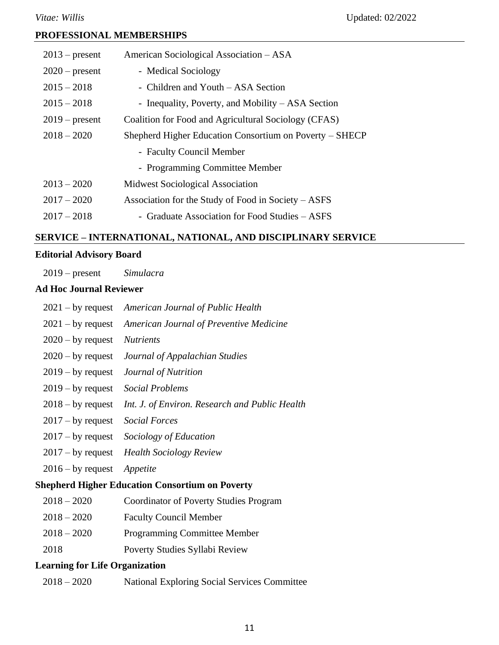## **PROFESSIONAL MEMBERSHIPS**

| American Sociological Association - ASA                 |
|---------------------------------------------------------|
| - Medical Sociology                                     |
| - Children and Youth – ASA Section                      |
| - Inequality, Poverty, and Mobility $-$ ASA Section     |
| Coalition for Food and Agricultural Sociology (CFAS)    |
| Shepherd Higher Education Consortium on Poverty – SHECP |
| - Faculty Council Member                                |
| - Programming Committee Member                          |
| <b>Midwest Sociological Association</b>                 |
| Association for the Study of Food in Society – ASFS     |
| - Graduate Association for Food Studies – ASFS          |
|                                                         |

## **SERVICE – INTERNATIONAL, NATIONAL, AND DISCIPLINARY SERVICE**

## **Editorial Advisory Board**

| $2019$ – present |  | Simulacra |
|------------------|--|-----------|
|------------------|--|-----------|

## **Ad Hoc Journal Reviewer**

| $2021 - by request$                                    | American Journal of Public Health                         |  |
|--------------------------------------------------------|-----------------------------------------------------------|--|
|                                                        | 2021 – by request American Journal of Preventive Medicine |  |
| $2020 - by request$                                    | <i>Nutrients</i>                                          |  |
| $2020 - by request$                                    | Journal of Appalachian Studies                            |  |
| $2019 - by request$                                    | Journal of Nutrition                                      |  |
| $2019 - by request$                                    | Social Problems                                           |  |
| $2018 - by request$                                    | Int. J. of Environ. Research and Public Health            |  |
| $2017 - by request$                                    | <b>Social Forces</b>                                      |  |
| $2017 - by request$                                    | Sociology of Education                                    |  |
| $2017 - by request$                                    | <b>Health Sociology Review</b>                            |  |
| $2016 - by request$                                    | Appetite                                                  |  |
| <b>Shepherd Higher Education Consortium on Poverty</b> |                                                           |  |
| $2018 - 2020$                                          | Coordinator of Poverty Studies Program                    |  |
| $2018 - 2020$                                          | <b>Faculty Council Member</b>                             |  |

- 2018 2020 Programming Committee Member
- 2018 Poverty Studies Syllabi Review

## **Learning for Life Organization**

| $2018 - 2020$ | <b>National Exploring Social Services Committee</b> |
|---------------|-----------------------------------------------------|
|---------------|-----------------------------------------------------|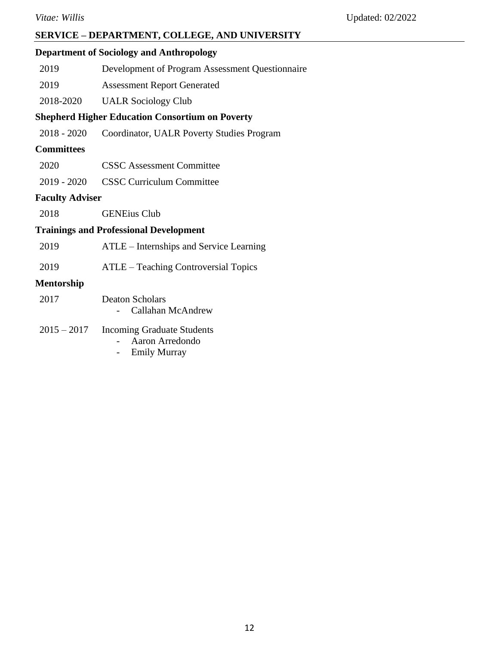## **SERVICE – DEPARTMENT, COLLEGE, AND UNIVERSITY**

## **Department of Sociology and Anthropology**

- 2019 Development of Program Assessment Questionnaire
- 2019 Assessment Report Generated
- 2018-2020 UALR Sociology Club

## **Shepherd Higher Education Consortium on Poverty**

2018 - 2020 Coordinator, UALR Poverty Studies Program

#### **Committees**

- 2020 CSSC Assessment Committee
- 2019 2020 CSSC Curriculum Committee

#### **Faculty Adviser**

2018 GENEius Club

# **Trainings and Professional Development**

| 2019          | ATLE – Internships and Service Learning                              |
|---------------|----------------------------------------------------------------------|
| 2019          | ATLE – Teaching Controversial Topics                                 |
| Mentorship    |                                                                      |
| 2017          | <b>Deaton Scholars</b><br>Callahan McAndrew                          |
| $2015 - 2017$ | Incoming Graduate Students<br>Aaron Arredondo<br><b>Emily Murray</b> |